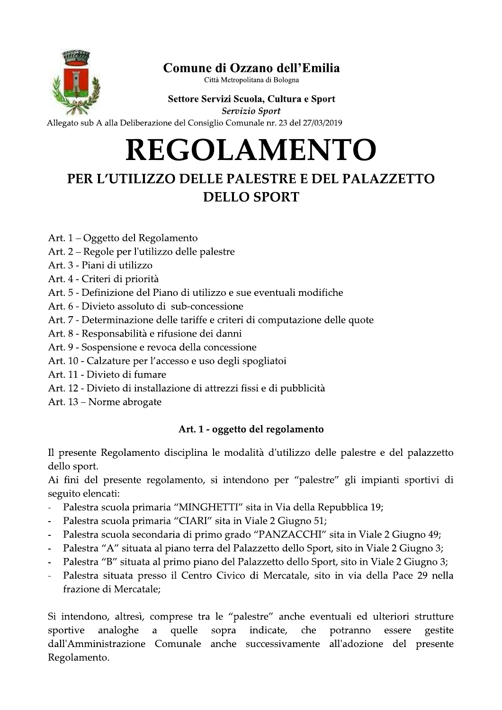

# C**omune di Ozzano dell'Emilia**<br><sup>Città Metropolitana di Bologna</sup>

# Settore Servizi Scuola, Cultura e Sport<br>Servizio Sport

# Comune di Ozzano dell'Emilia<br>
Settore Servizi Scuola, Cultura e Sport<br>
Servizio Sport<br>
Allegato sub A alla Deliberazione del Consiglio Comunale nr. 23 del 27/03/2019<br> **REGOLAMENTO**<br>
PER L'UTILIZZO DELLE PALESTRE E DEL PALA

- Art. 1 Oggetto del Regolamento
- Art. 2 Regole per l'utilizzo delle palestre
- Art. 3 Piani di utilizzo
- Art. 4 Criteri di priorità
- Art. 5 Definizione del Piano di utilizzo e sue eventuali modifiche
- Art. 6 Divieto assoluto di sub-concessione
- Art. 7 Determinazione delle tariffe e criteri di computazione delle quote
- Art. 8 Responsabilità e rifusione dei danni
- Art. 9 Sospensione e revoca della concessione
- Art. 10 Calzature per l'accesso e uso degli spogliatoi
- Art. 11 Divieto di fumare
- Art. 12 Divieto di installazione di attrezzi fissi e di pubblicità
- Art. 13 Norme abrogate

### Art. 1 - oggetto del regolamento

Il presente Regolamento disciplina le modalità d'utilizzo delle palestre e del palazzetto dello sport.

Ai fini del presente regolamento, si intendono per "palestre" gli impianti sportivi di seguito elencati:

- Palestra scuola primaria "MINGHETTI" sita in Via della Repubblica 19;
- Palestra scuola primaria "CIARI" sita in Viale 2 Giugno 51;
- Palestra scuola secondaria di primo grado "PANZACCHI" sita in Viale 2 Giugno 49;
- Balestra "A" situata al piano terra del Palazzetto dello Sport, sito in Viale 2 Giugno 3;
- Palestra "B" situata al primo piano del Palazzetto dello Sport, sito in Viale 2 Giugno 3;
- Palestra situata presso il Centro Civico di Mercatale, sito in via della Pace 29 nella frazione di Mercatale:

Si intendono, altresì, comprese tra le "palestre" anche eventuali ed ulteriori strutture sportive analoghe a quelle sopra indicate, che potranno essere gestite dall'Amministrazione Comunale anche successivamente all'adozione del presente Regolamento.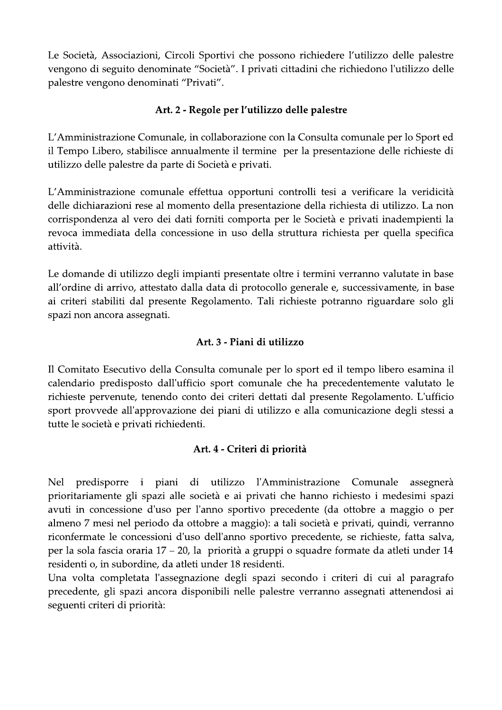Le Società, Associazioni, Circoli Sportivi che possono richiedere l'utilizzo delle palestre vengono di seguito denominate "Società". I privati cittadini che richiedono l'utilizzo delle palestre vengono denominati "Privati".

### Art. 2 - Regole per l'utilizzo delle palestre

L'Amministrazione Comunale, in collaborazione con la Consulta comunale per lo Sport ed il Tempo Libero, stabilisce annualmente il termine per la presentazione delle richieste di utilizzo delle palestre da parte di Società e privati.

L'Amministrazione comunale effettua opportuni controlli tesi a verificare la veridicità delle dichiarazioni rese al momento della presentazione della richiesta di utilizzo. La non corrispondenza al vero dei dati forniti comporta per le Società e privati inadempienti la revoca immediata della concessione in uso della struttura richiesta per quella specifica attività.

Le domande di utilizzo degli impianti presentate oltre i termini verranno valutate in base all'ordine di arrivo, attestato dalla data di protocollo generale e, successivamente, in base ai criteri stabiliti dal presente Regolamento. Tali richieste potranno riguardare solo gli spazi non ancora assegnati.

### Art. 3 - Piani di utilizzo

Il Comitato Esecutivo della Consulta comunale per lo sport ed il tempo libero esamina il calendario predisposto dall'ufficio sport comunale che ha precedentemente valutato le richieste pervenute, tenendo conto dei criteri dettati dal presente Regolamento. L'ufficio sport provvede all'approvazione dei piani di utilizzo e alla comunicazione degli stessi a tutte le società e privati richiedenti.

### Art. 4 - Criteri di priorità

utilizzo i piani di l'Amministrazione Comunale Nel predisporre assegnerà prioritariamente gli spazi alle società e ai privati che hanno richiesto i medesimi spazi avuti in concessione d'uso per l'anno sportivo precedente (da ottobre a maggio o per almeno 7 mesi nel periodo da ottobre a maggio): a tali società e privati, quindi, verranno riconfermate le concessioni d'uso dell'anno sportivo precedente, se richieste, fatta salva, per la sola fascia oraria 17 – 20, la priorità a gruppi o squadre formate da atleti under 14 residenti o, in subordine, da atleti under 18 residenti.

Una volta completata l'assegnazione degli spazi secondo i criteri di cui al paragrafo precedente, gli spazi ancora disponibili nelle palestre verranno assegnati attenendosi ai seguenti criteri di priorità: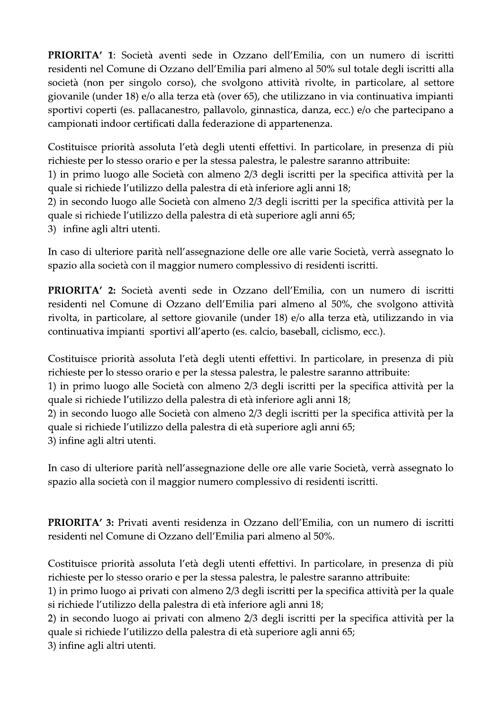PRIORITA' 1: Società aventi sede in Ozzano dell'Emilia, con un numero di iscritti residenti nel Comune di Ozzano dell'Emilia pari almeno al 50% sul totale degli iscritti alla società (non per singolo corso), che svolgono attività rivolte, in particolare, al settore giovanile (under 18) e/o alla terza età (over 65), che utilizzano in via continuativa impianti sportivi coperti (es. pallacanestro, pallavolo, ginnastica, danza, ecc.) e/o che partecipano a campionati indoor certificati dalla federazione di appartenenza.

Costituisce priorità assoluta l'età degli utenti effettivi. In particolare, in presenza di più richieste per lo stesso orario e per la stessa palestra, le palestre saranno attribuite:

1) in primo luogo alle Società con almeno 2/3 degli iscritti per la specifica attività per la quale si richiede l'utilizzo della palestra di età inferiore agli anni 18;

2) in secondo luogo alle Società con almeno 2/3 degli iscritti per la specifica attività per la quale si richiede l'utilizzo della palestra di età superiore agli anni 65;

3) infine agli altri utenti.

In caso di ulteriore parità nell'assegnazione delle ore alle varie Società, verrà assegnato lo spazio alla società con il maggior numero complessivo di residenti iscritti.

PRIORITA' 2: Società aventi sede in Ozzano dell'Emilia, con un numero di iscritti residenti nel Comune di Ozzano dell'Emilia pari almeno al 50%, che svolgono attività rivolta, in particolare, al settore giovanile (under 18) e/o alla terza età, utilizzando in via continuativa impianti sportivi all'aperto (es. calcio, baseball, ciclismo, ecc.).

Costituisce priorità assoluta l'età degli utenti effettivi. In particolare, in presenza di più richieste per lo stesso orario e per la stessa palestra, le palestre saranno attribuite:

1) in primo luogo alle Società con almeno 2/3 degli iscritti per la specifica attività per la quale si richiede l'utilizzo della palestra di età inferiore agli anni 18;

2) in secondo luogo alle Società con almeno 2/3 degli iscritti per la specifica attività per la quale si richiede l'utilizzo della palestra di età superiore agli anni 65;

3) infine agli altri utenti.

In caso di ulteriore parità nell'assegnazione delle ore alle varie Società, verrà assegnato lo spazio alla società con il maggior numero complessivo di residenti iscritti.

PRIORITA' 3: Privati aventi residenza in Ozzano dell'Emilia, con un numero di iscritti residenti nel Comune di Ozzano dell'Emilia pari almeno al 50%.

Costituisce priorità assoluta l'età degli utenti effettivi. In particolare, in presenza di più richieste per lo stesso orario e per la stessa palestra, le palestre saranno attribuite:

1) in primo luogo ai privati con almeno 2/3 degli iscritti per la specifica attività per la quale si richiede l'utilizzo della palestra di età inferiore agli anni 18;

2) in secondo luogo ai privati con almeno 2/3 degli iscritti per la specifica attività per la quale si richiede l'utilizzo della palestra di età superiore agli anni 65;

3) infine agli altri utenti.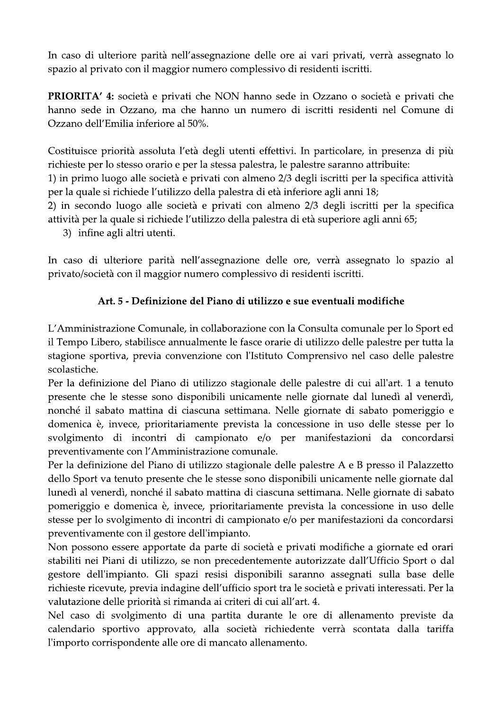In caso di ulteriore parità nell'assegnazione delle ore ai vari privati, verrà assegnato lo spazio al privato con il maggior numero complessivo di residenti iscritti.

PRIORITA' 4: società e privati che NON hanno sede in Ozzano o società e privati che hanno sede in Ozzano, ma che hanno un numero di iscritti residenti nel Comune di Ozzano dell'Emilia inferiore al 50%.

Costituisce priorità assoluta l'età degli utenti effettivi. In particolare, in presenza di più richieste per lo stesso orario e per la stessa palestra, le palestre saranno attribuite:

1) in primo luogo alle società e privati con almeno 2/3 degli iscritti per la specifica attività per la quale si richiede l'utilizzo della palestra di età inferiore agli anni 18;

2) in secondo luogo alle società e privati con almeno 2/3 degli iscritti per la specifica attività per la quale si richiede l'utilizzo della palestra di età superiore agli anni 65;

3) infine agli altri utenti.

In caso di ulteriore parità nell'assegnazione delle ore, verrà assegnato lo spazio al privato/società con il maggior numero complessivo di residenti iscritti.

### Art. 5 - Definizione del Piano di utilizzo e sue eventuali modifiche

L'Amministrazione Comunale, in collaborazione con la Consulta comunale per lo Sport ed il Tempo Libero, stabilisce annualmente le fasce orarie di utilizzo delle palestre per tutta la stagione sportiva, previa convenzione con l'Istituto Comprensivo nel caso delle palestre scolastiche.

Per la definizione del Piano di utilizzo stagionale delle palestre di cui all'art. 1 a tenuto presente che le stesse sono disponibili unicamente nelle giornate dal lunedì al venerdì, nonché il sabato mattina di ciascuna settimana. Nelle giornate di sabato pomeriggio e domenica è, invece, prioritariamente prevista la concessione in uso delle stesse per lo svolgimento di incontri di campionato e/o per manifestazioni da concordarsi preventivamente con l'Amministrazione comunale.

Per la definizione del Piano di utilizzo stagionale delle palestre A e B presso il Palazzetto dello Sport va tenuto presente che le stesse sono disponibili unicamente nelle giornate dal lunedì al venerdì, nonché il sabato mattina di ciascuna settimana. Nelle giornate di sabato pomeriggio e domenica è, invece, prioritariamente prevista la concessione in uso delle stesse per lo svolgimento di incontri di campionato e/o per manifestazioni da concordarsi preventivamente con il gestore dell'impianto.

Non possono essere apportate da parte di società e privati modifiche a giornate ed orari stabiliti nei Piani di utilizzo, se non precedentemente autorizzate dall'Ufficio Sport o dal gestore dell'impianto. Gli spazi resisi disponibili saranno assegnati sulla base delle richieste ricevute, previa indagine dell'ufficio sport tra le società e privati interessati. Per la valutazione delle priorità si rimanda ai criteri di cui all'art. 4.

Nel caso di svolgimento di una partita durante le ore di allenamento previste da calendario sportivo approvato, alla società richiedente verrà scontata dalla tariffa l'importo corrispondente alle ore di mancato allenamento.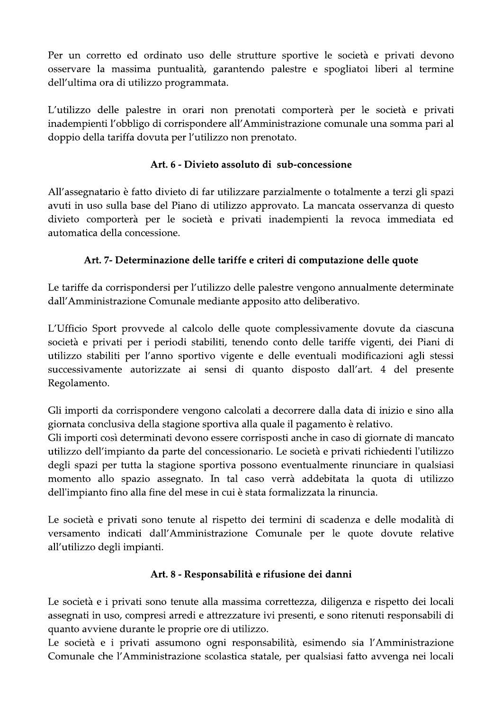Per un corretto ed ordinato uso delle strutture sportive le società e privati devono osservare la massima puntualità, garantendo palestre e spogliatoi liberi al termine dell'ultima ora di utilizzo programmata.

L'utilizzo delle palestre in orari non prenotati comporterà per le società e privati inadempienti l'obbligo di corrispondere all'Amministrazione comunale una somma pari al doppio della tariffa dovuta per l'utilizzo non prenotato.

### Art. 6 - Divieto assoluto di sub-concessione

All'assegnatario è fatto divieto di far utilizzare parzialmente o totalmente a terzi gli spazi avuti in uso sulla base del Piano di utilizzo approvato. La mancata osservanza di questo divieto comporterà per le società e privati inadempienti la revoca immediata ed automatica della concessione.

### Art. 7- Determinazione delle tariffe e criteri di computazione delle quote

Le tariffe da corrispondersi per l'utilizzo delle palestre vengono annualmente determinate dall'Amministrazione Comunale mediante apposito atto deliberativo.

L'Ufficio Sport provvede al calcolo delle quote complessivamente dovute da ciascuna società e privati per i periodi stabiliti, tenendo conto delle tariffe vigenti, dei Piani di utilizzo stabiliti per l'anno sportivo vigente e delle eventuali modificazioni agli stessi successivamente autorizzate ai sensi di quanto disposto dall'art. 4 del presente Regolamento.

Gli importi da corrispondere vengono calcolati a decorrere dalla data di inizio e sino alla giornata conclusiva della stagione sportiva alla quale il pagamento è relativo.

Gli importi così determinati devono essere corrisposti anche in caso di giornate di mancato utilizzo dell'impianto da parte del concessionario. Le società e privati richiedenti l'utilizzo degli spazi per tutta la stagione sportiva possono eventualmente rinunciare in qualsiasi momento allo spazio assegnato. In tal caso verrà addebitata la quota di utilizzo dell'impianto fino alla fine del mese in cui è stata formalizzata la rinuncia.

Le società e privati sono tenute al rispetto dei termini di scadenza e delle modalità di versamento indicati dall'Amministrazione Comunale per le quote dovute relative all'utilizzo degli impianti.

### Art. 8 - Responsabilità e rifusione dei danni

Le società e i privati sono tenute alla massima correttezza, diligenza e rispetto dei locali assegnati in uso, compresi arredi e attrezzature ivi presenti, e sono ritenuti responsabili di quanto avviene durante le proprie ore di utilizzo.

Le società e i privati assumono ogni responsabilità, esimendo sia l'Amministrazione Comunale che l'Amministrazione scolastica statale, per qualsiasi fatto avvenga nei locali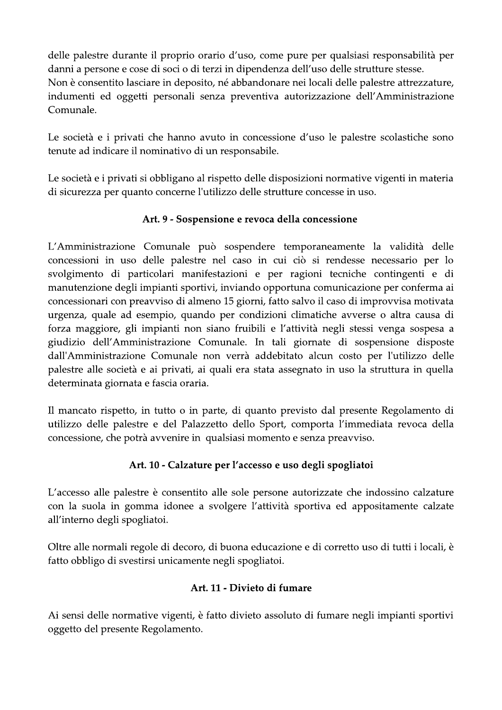delle palestre durante il proprio orario d'uso, come pure per qualsiasi responsabilità per danni a persone e cose di soci o di terzi in dipendenza dell'uso delle strutture stesse. Non è consentito lasciare in deposito, né abbandonare nei locali delle palestre attrezzature, indumenti ed oggetti personali senza preventiva autorizzazione dell'Amministrazione Comunale.

Le società e i privati che hanno avuto in concessione d'uso le palestre scolastiche sono tenute ad indicare il nominativo di un responsabile.

Le società e i privati si obbligano al rispetto delle disposizioni normative vigenti in materia di sicurezza per quanto concerne l'utilizzo delle strutture concesse in uso.

### Art. 9 - Sospensione e revoca della concessione

L'Amministrazione Comunale può sospendere temporaneamente la validità delle concessioni in uso delle palestre nel caso in cui ciò si rendesse necessario per lo svolgimento di particolari manifestazioni e per ragioni tecniche contingenti e di manutenzione degli impianti sportivi, inviando opportuna comunicazione per conferma ai concessionari con preavviso di almeno 15 giorni, fatto salvo il caso di improvvisa motivata urgenza, quale ad esempio, quando per condizioni climatiche avverse o altra causa di forza maggiore, gli impianti non siano fruibili e l'attività negli stessi venga sospesa a giudizio dell'Amministrazione Comunale. In tali giornate di sospensione disposte dall'Amministrazione Comunale non verrà addebitato alcun costo per l'utilizzo delle palestre alle società e ai privati, ai quali era stata assegnato in uso la struttura in quella determinata giornata e fascia oraria.

Il mancato rispetto, in tutto o in parte, di quanto previsto dal presente Regolamento di utilizzo delle palestre e del Palazzetto dello Sport, comporta l'immediata revoca della concessione, che potrà avvenire in qualsiasi momento e senza preavviso.

## Art. 10 - Calzature per l'accesso e uso degli spogliatoi

L'accesso alle palestre è consentito alle sole persone autorizzate che indossino calzature con la suola in gomma idonee a svolgere l'attività sportiva ed appositamente calzate all'interno degli spogliatoi.

Oltre alle normali regole di decoro, di buona educazione e di corretto uso di tutti i locali, è fatto obbligo di svestirsi unicamente negli spogliatoi.

### Art. 11 - Divieto di fumare

Ai sensi delle normative vigenti, è fatto divieto assoluto di fumare negli impianti sportivi oggetto del presente Regolamento.